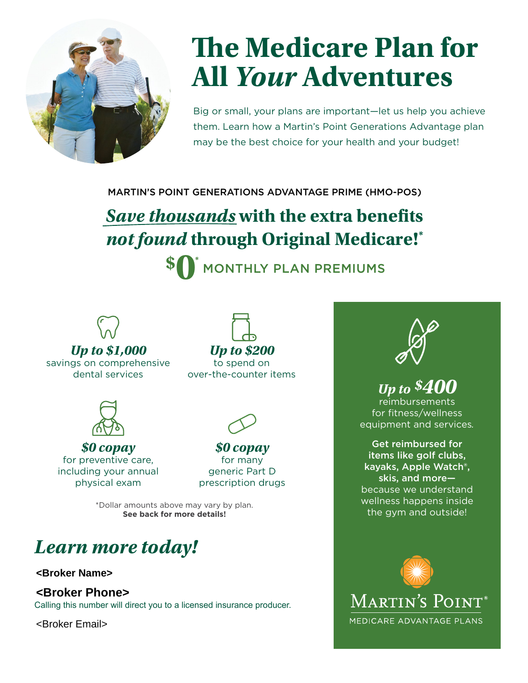

# **The Medicare Plan for All** *Your* **Adventures**

Big or small, your plans are important—let us help you achieve them. Learn how a Martin's Point Generations Advantage plan may be the best choice for your health and your budget!

MARTIN'S POINT GENERATIONS ADVANTAGE PRIME (HMO-POS)

## *Save thousands* **with the extra benefits**  *not found* **through Original Medicare!\***

**\$ 0\***  $\check{\phantom{\phi}}$  MONTHLY PLAN PREMIUMS



*Up to \$1,000* savings on comprehensive dental services

*Up to \$200* to spend on over-the-counter items



*\$0 copay* for preventive care, including your annual physical exam



*\$0 copay* for many generic Part D prescription drugs

\*Dollar amounts above may vary by plan. **See back for more details!** 

### *Learn more today!*

**<Broker Name>**

**<Broker Phone>**

Calling this number will direct you to a licensed insurance producer.

<Broker Email>



#### *Up to \$400*

reimbursements for fitness/wellness equipment and services*.*

Get reimbursed for items like golf clubs, kayaks, Apple Watch®, skis, and more because we understand wellness happens inside the gym and outside!